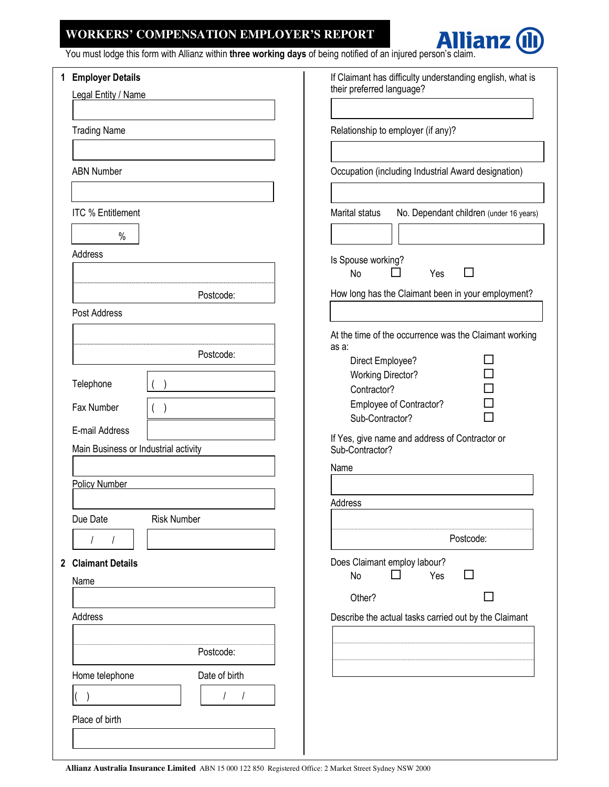## **WORKERS' COMPENSATION EMPLOYER'S REPORT**



You must lodge this form with Allianz within three working days of being notified of an injured person's claim.

|  | 1 Employer Details                   |                    | If Claimant has difficulty understanding english, what is         |  |  |  |  |  |  |  |
|--|--------------------------------------|--------------------|-------------------------------------------------------------------|--|--|--|--|--|--|--|
|  | Legal Entity / Name                  |                    | their preferred language?                                         |  |  |  |  |  |  |  |
|  |                                      |                    |                                                                   |  |  |  |  |  |  |  |
|  | <b>Trading Name</b>                  |                    | Relationship to employer (if any)?                                |  |  |  |  |  |  |  |
|  |                                      |                    |                                                                   |  |  |  |  |  |  |  |
|  | <b>ABN Number</b>                    |                    | Occupation (including Industrial Award designation)               |  |  |  |  |  |  |  |
|  | <b>ITC % Entitlement</b>             |                    | Marital status<br>No. Dependant children (under 16 years)         |  |  |  |  |  |  |  |
|  | $\%$<br>Address                      |                    |                                                                   |  |  |  |  |  |  |  |
|  |                                      |                    | Is Spouse working?<br>$\Box$<br>No<br>Yes                         |  |  |  |  |  |  |  |
|  |                                      | Postcode:          | How long has the Claimant been in your employment?                |  |  |  |  |  |  |  |
|  | Post Address                         |                    |                                                                   |  |  |  |  |  |  |  |
|  |                                      |                    | At the time of the occurrence was the Claimant working            |  |  |  |  |  |  |  |
|  |                                      | Postcode:          | as a:<br>Direct Employee?                                         |  |  |  |  |  |  |  |
|  |                                      |                    | <b>Working Director?</b>                                          |  |  |  |  |  |  |  |
|  | Telephone                            |                    | Contractor?                                                       |  |  |  |  |  |  |  |
|  | Fax Number                           |                    | Employee of Contractor?                                           |  |  |  |  |  |  |  |
|  | E-mail Address                       |                    | Sub-Contractor?                                                   |  |  |  |  |  |  |  |
|  | Main Business or Industrial activity |                    | If Yes, give name and address of Contractor or<br>Sub-Contractor? |  |  |  |  |  |  |  |
|  |                                      |                    | Name                                                              |  |  |  |  |  |  |  |
|  | <b>Policy Number</b>                 |                    |                                                                   |  |  |  |  |  |  |  |
|  |                                      |                    | Address                                                           |  |  |  |  |  |  |  |
|  | Due Date                             | <b>Risk Number</b> |                                                                   |  |  |  |  |  |  |  |
|  |                                      |                    | Postcode:                                                         |  |  |  |  |  |  |  |
|  | 2 Claimant Details                   |                    | Does Claimant employ labour?                                      |  |  |  |  |  |  |  |
|  | Name                                 |                    | No<br>Yes<br>ΙI<br>ΙI                                             |  |  |  |  |  |  |  |
|  |                                      |                    | Other?                                                            |  |  |  |  |  |  |  |
|  | Address                              |                    | Describe the actual tasks carried out by the Claimant             |  |  |  |  |  |  |  |
|  |                                      |                    |                                                                   |  |  |  |  |  |  |  |
|  |                                      | Postcode:          |                                                                   |  |  |  |  |  |  |  |
|  | Home telephone                       | Date of birth      |                                                                   |  |  |  |  |  |  |  |
|  |                                      |                    |                                                                   |  |  |  |  |  |  |  |
|  | Place of birth                       |                    |                                                                   |  |  |  |  |  |  |  |
|  |                                      |                    |                                                                   |  |  |  |  |  |  |  |
|  |                                      |                    |                                                                   |  |  |  |  |  |  |  |

**Allianz Australia Insurance Limited** ABN 15 000 122 850 Registered Office: 2 Market Street Sydney NSW 2000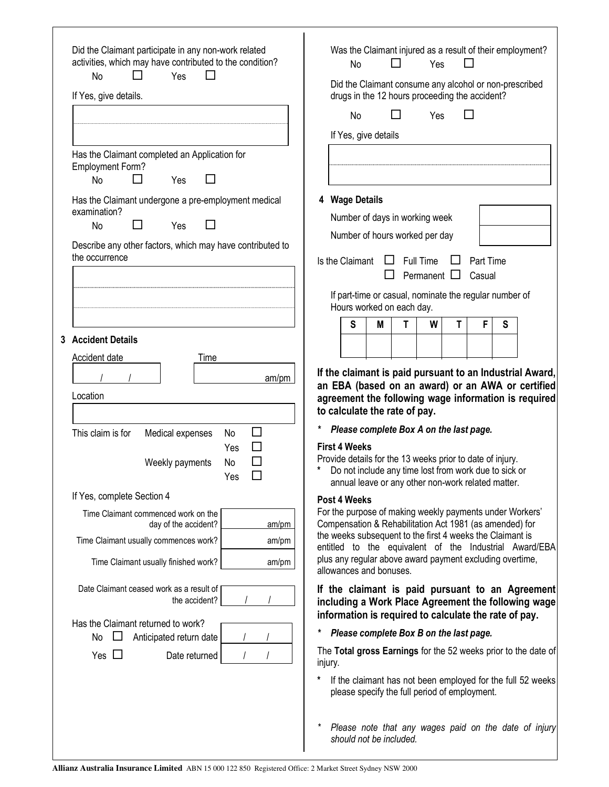| Did the Claimant participate in any non-work related                                                                                                                                                                        |                                                                                                                                                                                  |    |                         |    |     |   |                                                                                                                                                                          |   | Was the Claimant injured as a result of their employment?                                               |  |
|-----------------------------------------------------------------------------------------------------------------------------------------------------------------------------------------------------------------------------|----------------------------------------------------------------------------------------------------------------------------------------------------------------------------------|----|-------------------------|----|-----|---|--------------------------------------------------------------------------------------------------------------------------------------------------------------------------|---|---------------------------------------------------------------------------------------------------------|--|
| activities, which may have contributed to the condition?<br>Yes<br>ΙI<br>No<br>$\mathsf{L}$                                                                                                                                 |                                                                                                                                                                                  | No |                         | ΙI | Yes |   | $\Box$                                                                                                                                                                   |   |                                                                                                         |  |
| If Yes, give details.                                                                                                                                                                                                       | Did the Claimant consume any alcohol or non-prescribed<br>drugs in the 12 hours proceeding the accident?                                                                         |    |                         |    |     |   |                                                                                                                                                                          |   |                                                                                                         |  |
|                                                                                                                                                                                                                             | Yes<br>No                                                                                                                                                                        |    |                         |    |     |   |                                                                                                                                                                          |   |                                                                                                         |  |
|                                                                                                                                                                                                                             |                                                                                                                                                                                  |    | If Yes, give details    |    |     |   |                                                                                                                                                                          |   |                                                                                                         |  |
| Has the Claimant completed an Application for                                                                                                                                                                               |                                                                                                                                                                                  |    |                         |    |     |   |                                                                                                                                                                          |   |                                                                                                         |  |
| <b>Employment Form?</b><br><b>No</b><br>Yes                                                                                                                                                                                 |                                                                                                                                                                                  |    |                         |    |     |   |                                                                                                                                                                          |   |                                                                                                         |  |
| Has the Claimant undergone a pre-employment medical                                                                                                                                                                         | 4 Wage Details                                                                                                                                                                   |    |                         |    |     |   |                                                                                                                                                                          |   |                                                                                                         |  |
| examination?<br><b>No</b><br>Yes                                                                                                                                                                                            | Number of days in working week                                                                                                                                                   |    |                         |    |     |   |                                                                                                                                                                          |   |                                                                                                         |  |
|                                                                                                                                                                                                                             | Number of hours worked per day                                                                                                                                                   |    |                         |    |     |   |                                                                                                                                                                          |   |                                                                                                         |  |
| Describe any other factors, which may have contributed to<br>the occurrence                                                                                                                                                 | Is the Claimant<br><b>Full Time</b><br>Part Time                                                                                                                                 |    |                         |    |     |   |                                                                                                                                                                          |   |                                                                                                         |  |
|                                                                                                                                                                                                                             | Permanent $\Box$<br>Casual<br>$\mathsf{L}$                                                                                                                                       |    |                         |    |     |   |                                                                                                                                                                          |   |                                                                                                         |  |
|                                                                                                                                                                                                                             | If part-time or casual, nominate the regular number of<br>Hours worked on each day.                                                                                              |    |                         |    |     |   |                                                                                                                                                                          |   |                                                                                                         |  |
|                                                                                                                                                                                                                             |                                                                                                                                                                                  | S  | M                       | T  | W   | T | F                                                                                                                                                                        | S |                                                                                                         |  |
| 3 Accident Details                                                                                                                                                                                                          |                                                                                                                                                                                  |    |                         |    |     |   |                                                                                                                                                                          |   |                                                                                                         |  |
| Accident date<br>Time                                                                                                                                                                                                       |                                                                                                                                                                                  |    |                         |    |     |   |                                                                                                                                                                          |   |                                                                                                         |  |
| If the claimant is paid pursuant to an Industrial Award,<br>am/pm<br>an EBA (based on an award) or an AWA or certified<br>Location<br>agreement the following wage information is required<br>to calculate the rate of pay. |                                                                                                                                                                                  |    |                         |    |     |   |                                                                                                                                                                          |   |                                                                                                         |  |
| This claim is for<br>Medical expenses<br>⊔<br>No                                                                                                                                                                            | *<br>Please complete Box A on the last page.                                                                                                                                     |    |                         |    |     |   |                                                                                                                                                                          |   |                                                                                                         |  |
| П<br>Yes<br>Weekly payments<br>No<br>$\Box$<br>Yes                                                                                                                                                                          | <b>First 4 Weeks</b>                                                                                                                                                             |    |                         |    |     |   | Provide details for the 13 weeks prior to date of injury.<br>Do not include any time lost from work due to sick or<br>annual leave or any other non-work related matter. |   |                                                                                                         |  |
| If Yes, complete Section 4                                                                                                                                                                                                  | Post 4 Weeks                                                                                                                                                                     |    |                         |    |     |   |                                                                                                                                                                          |   |                                                                                                         |  |
| Time Claimant commenced work on the<br>day of the accident?<br>am/pm                                                                                                                                                        | For the purpose of making weekly payments under Workers'<br>Compensation & Rehabilitation Act 1981 (as amended) for<br>the weeks subsequent to the first 4 weeks the Claimant is |    |                         |    |     |   |                                                                                                                                                                          |   |                                                                                                         |  |
| Time Claimant usually commences work?<br>am/pm                                                                                                                                                                              |                                                                                                                                                                                  |    |                         |    |     |   |                                                                                                                                                                          |   | entitled to the equivalent of the Industrial Award/EBA                                                  |  |
| Time Claimant usually finished work?<br>am/pm                                                                                                                                                                               |                                                                                                                                                                                  |    | allowances and bonuses. |    |     |   | plus any regular above award payment excluding overtime,                                                                                                                 |   |                                                                                                         |  |
| Date Claimant ceased work as a result of<br>the accident?                                                                                                                                                                   |                                                                                                                                                                                  |    |                         |    |     |   | information is required to calculate the rate of pay.                                                                                                                    |   | If the claimant is paid pursuant to an Agreement<br>including a Work Place Agreement the following wage |  |
| Has the Claimant returned to work?                                                                                                                                                                                          | *                                                                                                                                                                                |    |                         |    |     |   |                                                                                                                                                                          |   |                                                                                                         |  |
| No<br>Anticipated return date<br>Yes $\Box$<br>Date returned                                                                                                                                                                | Please complete Box B on the last page.<br>The Total gross Earnings for the 52 weeks prior to the date of<br>injury.                                                             |    |                         |    |     |   |                                                                                                                                                                          |   |                                                                                                         |  |
|                                                                                                                                                                                                                             |                                                                                                                                                                                  |    |                         |    |     |   | please specify the full period of employment.                                                                                                                            |   | If the claimant has not been employed for the full 52 weeks                                             |  |
|                                                                                                                                                                                                                             | *                                                                                                                                                                                |    | should not be included. |    |     |   |                                                                                                                                                                          |   | Please note that any wages paid on the date of injury                                                   |  |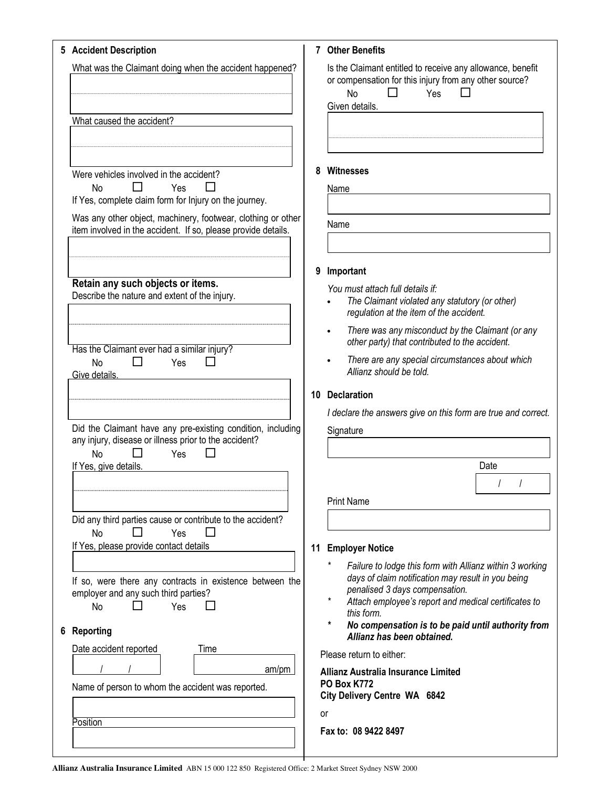| 5 Accident Description                                                                                                        | 7 Other Benefits                                                                                                                                                                                                                   |
|-------------------------------------------------------------------------------------------------------------------------------|------------------------------------------------------------------------------------------------------------------------------------------------------------------------------------------------------------------------------------|
| What was the Claimant doing when the accident happened?                                                                       | Is the Claimant entitled to receive any allowance, benefit<br>or compensation for this injury from any other source?<br><b>No</b><br>Yes<br>Given details.                                                                         |
| What caused the accident?                                                                                                     |                                                                                                                                                                                                                                    |
|                                                                                                                               | 8                                                                                                                                                                                                                                  |
| Were vehicles involved in the accident?<br><b>No</b><br>Yes<br>If Yes, complete claim form for Injury on the journey.         | <b>Witnesses</b><br>Name                                                                                                                                                                                                           |
| Was any other object, machinery, footwear, clothing or other<br>item involved in the accident. If so, please provide details. | Name                                                                                                                                                                                                                               |
|                                                                                                                               | Important<br>9                                                                                                                                                                                                                     |
| Retain any such objects or items.<br>Describe the nature and extent of the injury.                                            | You must attach full details if:<br>The Claimant violated any statutory (or other)<br>regulation at the item of the accident.                                                                                                      |
| Has the Claimant ever had a similar injury?                                                                                   | There was any misconduct by the Claimant (or any<br>other party) that contributed to the accident.                                                                                                                                 |
| П<br>$\Box$<br>Yes<br><b>No</b><br>Give details.                                                                              | There are any special circumstances about which<br>Allianz should be told.                                                                                                                                                         |
|                                                                                                                               | 10 Declaration                                                                                                                                                                                                                     |
| Did the Claimant have any pre-existing condition, including                                                                   | I declare the answers give on this form are true and correct.<br>Signature                                                                                                                                                         |
| any injury, disease or illness prior to the accident?<br><b>No</b><br>Yes                                                     |                                                                                                                                                                                                                                    |
| If Yes, give details.                                                                                                         | Date                                                                                                                                                                                                                               |
|                                                                                                                               | <b>Print Name</b>                                                                                                                                                                                                                  |
| Did any third parties cause or contribute to the accident?<br><b>No</b><br>Yes                                                |                                                                                                                                                                                                                                    |
| If Yes, please provide contact details                                                                                        | 11 Employer Notice                                                                                                                                                                                                                 |
| If so, were there any contracts in existence between the<br>employer and any such third parties?<br>Yes<br><b>No</b>          | Failure to lodge this form with Allianz within 3 working<br>days of claim notification may result in you being<br>penalised 3 days compensation.<br>Attach employee's report and medical certificates to<br>this form.<br>$^\star$ |
| Reporting<br>6                                                                                                                | No compensation is to be paid until authority from<br>Allianz has been obtained.                                                                                                                                                   |
| Date accident reported<br>Time<br>am/pm                                                                                       | Please return to either:                                                                                                                                                                                                           |
| Name of person to whom the accident was reported.                                                                             | <b>Allianz Australia Insurance Limited</b><br><b>PO Box K772</b><br>City Delivery Centre WA 6842                                                                                                                                   |
| Position                                                                                                                      | or                                                                                                                                                                                                                                 |
|                                                                                                                               | Fax to: 08 9422 8497                                                                                                                                                                                                               |